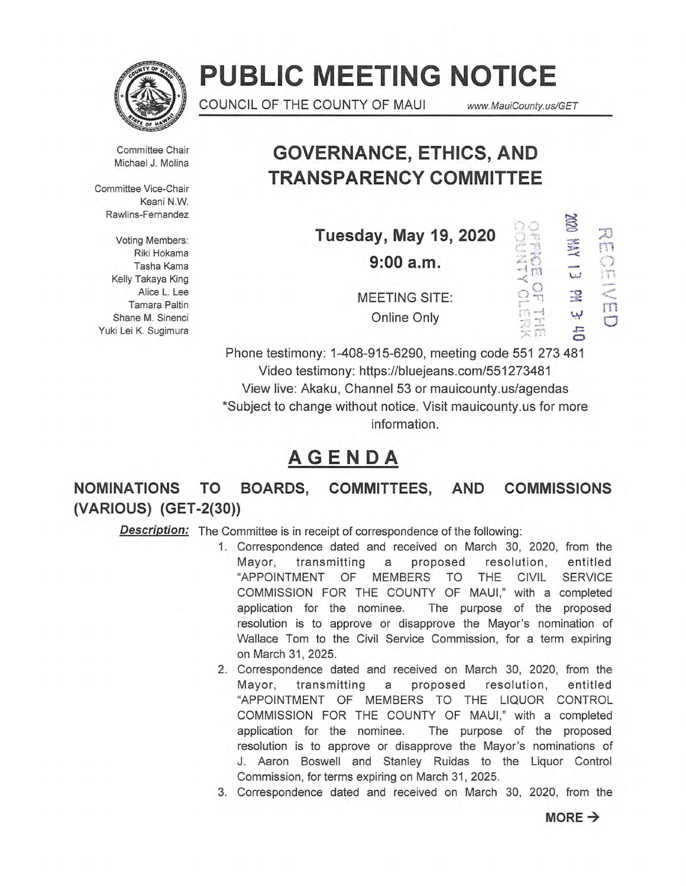

# **PUBLIC MEETING NOTICE**

COUNCIL OF THE COUNTY OF MAUI www.MauiCounty.us/GET

دہ

Committee Chair Michael J. Molina

Committee Vice-Chair Keani N.W. Rawlins-Fernandez

**Voting Members:** Tasha Kama **9:00 a.m.**  Kelly Takaya King Shane M. Sinenci Yuki Lei K. Sugimura

# **GOVERNANCE, ETHICS, AND TRANSPARENCY COMMITTEE**

|                |                              |       | $\Xi$       |  |
|----------------|------------------------------|-------|-------------|--|
| ting Members:  | <b>Tuesday, May 19, 2020</b> |       |             |  |
| Riki Hokama    | $9:00$ a.m.                  |       | <b>AVIA</b> |  |
| Tasha Kama     |                              |       |             |  |
| y Takaya King  |                              |       |             |  |
| Alice L. Lee   | <b>MEETING SITE:</b>         |       | Ę           |  |
| Tamara Paltin  |                              |       |             |  |
| ane M. Sinenci | Online Only                  | werd. | لبيا        |  |
| ei K. Sugimura |                              | 关策    | $\sqrt{2}$  |  |
|                |                              |       |             |  |

Phone testimony: 1-408-915-6290, meeting code 551 273 481 Video testimony: https://bluejeans.com/551273481 View live: Akaku, Channel 53 or mauicounty.us/agendas \*Subject to change without notice. Visit mauicounty.usfor more information.

# **AGENDA**

**NOMINATIONS TO BOARDS, COMMITTEES, AND COMMISSIONS (VARIOUS) (GET-2(30))** 

**Description:** The Committee is in receipt of correspondence of the following:

- 1. Correspondence dated and received on March 30, 2020, from the Mayor, transmitting a proposed resolution, entitled "APPOINTMENT OF MEMBERS TO THE CIVIL SERVICE COMMISSION FOR THE COUNTY OF MAUI," with a completed application for the nominee. The purpose of the proposed resolution is to approve or disapprove the Mayor's nomination of Wallace Tom to the Civil Service Commission, for a term expiring on March 31, 2025.
- 2. Correspondence dated and received on March 30, 2020, from the Mayor, transmitting a proposed resolution, entitled "APPOINTMENT OF MEMBERS TO THE LIQUOR CONTROL COMMISSION FOR THE COUNTY OF MAUI," with a completed application for the nominee. The purpose of the proposed resolution is to approve or disapprove the Mayor's nominations of J. Aaron Boswell and Stanley Ruidas to the Liquor Control Commission, for terms expiring on March 31, 2025.
- 3. Correspondence dated and received on March 30, 2020, from the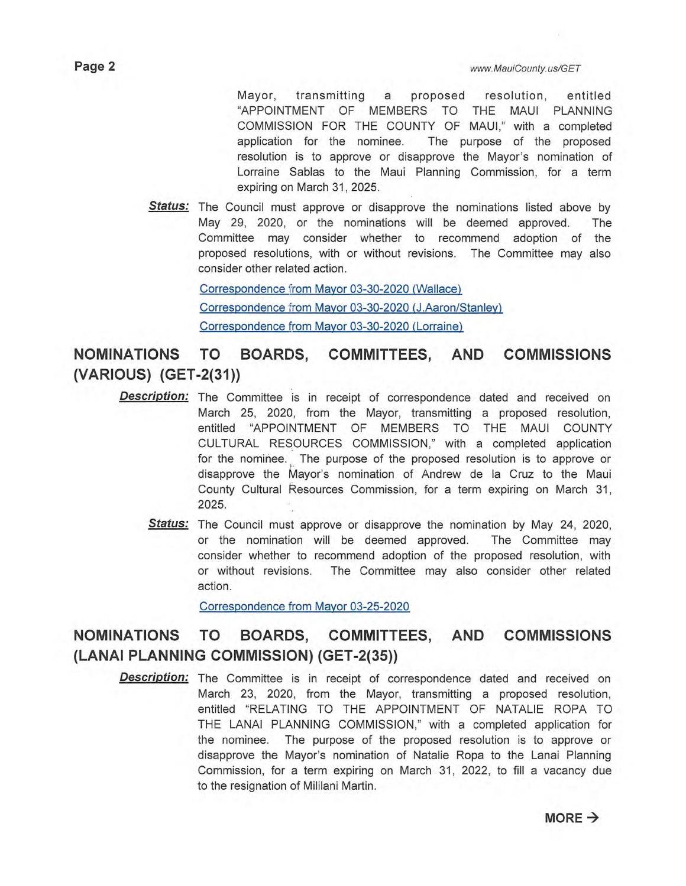Mayor, transmitting a proposed resolution, entitled "APPOINTMENT OF MEMBERS TO THE MAUI PLANNING COMMISSION FOR THE COUNTY OF MAUI," with a completed application for the nominee. The purpose of the proposed resolution is to approve or disapprove the Mayor's nomination of Lorraine Sablas to the Maui Planning Commission, for a term expiring on March 31, 2025.

**Status:** The Council must approve or disapprove the nominations listed above by May 29, 2020, or the nominations will be deemed approved. The Committee may consider whether to recommend adoption of the proposed resolutions, with or without revisions. The Committee may also consider other related action.

> Correspondence from Mayor 03-30-2020 (Wallace) Correspondence from Mayor 03-30-2020 (J.Aaron/Stanley) Correspondence from Mayor 03-30-2020 (Lorraine)

**NOMINATIONS TO BOARDS, COMMITTEES, AND COMMISSIONS (VARIOUS) (GET-2(31))** 

- **Description:**  The Committee is in receipt of correspondence dated and received on March 25, 2020, from the Mayor, transmitting a proposed resolution, entitled "APPOINTMENT OF MEMBERS TO THE MAUI COUNTY CULTURAL RESOURCES COMMISSION," with a completed application for the nominee. The purpose of the proposed resolution is to approve or disapprove the Mayor's nomination of Andrew de la Cruz to the Maui County Cultural Resources Commission, for a term expiring on March 31, 2025.
	- Status: The Council must approve or disapprove the nomination by May 24, 2020, or the nomination will be deemed approved. The Committee may consider whether to recommend adoption of the proposed resolution, with or without revisions. The Committee may also consider other related action.

Correspondence from Mayor 03-25-2020

## **NOMINATIONS TO BOARDS, COMMITTEES, AND COMMISSIONS (LANAI PLANNING COMMISSION) (GET-2(35))**

**Description:** The Committee is in receipt of correspondence dated and received on March 23, 2020, from the Mayor, transmitting a proposed resolution, entitled "RELATING TO THE APPOINTMENT OF NATALIE ROPA TO THE LANAI PLANNING COMMISSION," with a completed application for the nominee. The purpose of the proposed resolution is to approve or disapprove the Mayor's nomination of Natalie Ropa to the Lanai Planning Commission, for a term expiring on March 31, 2022, to fill a vacancy due to the resignation of Mililani Martin.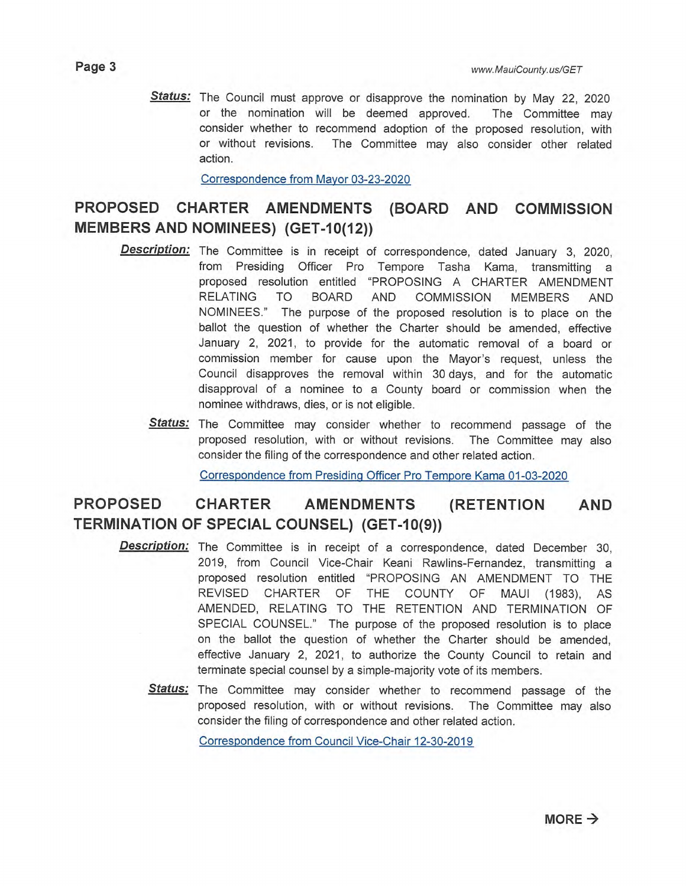**Status:** The Council must approve or disapprove the nomination by May 22, 2020 or the nomination will be deemed approved. The Committee may consider whether to recommend adoption of the proposed resolution, with or without revisions. The Committee may also consider other related action.

Correspondence from Mayor 03-23-2020

## **PROPOSED CHARTER AMENDMENTS (BOARD AND COMMISSION MEMBERS AND NOMINEES) (GET-10(12))**

- **Description:** The Committee is in receipt of correspondence, dated January 3, 2020, from Presiding Officer Pro Tempore Tasha Kama, transmitting a proposed resolution entitled "PROPOSING A CHARTER AMENDMENT RELATING TO BOARD AND COMMISSION MEMBERS AND NOMINEES." The purpose of the proposed resolution is to place on the ballot the question of whether the Charter should be amended, effective January 2, 2021, to provide for the automatic removal of a board or commission member for cause upon the Mayor's request, unless the Council disapproves the removal within 30 days, and for the automatic disapproval of a nominee to a County board or commission when the nominee withdraws, dies, or is not eligible.
	- **Status:** The Committee may consider whether to recommend passage of the proposed resolution, with or without revisions. The Committee may also consider the filing of the correspondence and other related action.

Correspondence from Presiding Officer Pro Tempore Kama 01-03-2020

## **PROPOSED CHARTER AMENDMENTS (RETENTION AND TERMINATION OF SPECIAL COUNSEL) (GET-10(9))**

- **Description:** The Committee is in receipt of a correspondence, dated December 30, 2019, from Council Vice-Chair Keani Rawlins-Fernandez, transmitting a proposed resolution entitled "PROPOSING AN AMENDMENT TO THE REVISED CHARTER OF THE COUNTY OF MAUI (1983), AS AMENDED, RELATING TO THE RETENTION AND TERMINATION OF SPECIAL COUNSEL." The purpose of the proposed resolution is to place on the ballot the question of whether the Charter should be amended, effective January 2, 2021, to authorize the County Council to retain and terminate special counsel by a simple-majority vote of its members.
	- **Status:** The Committee may consider whether to recommend passage of the proposed resolution, with or without revisions. The Committee may also consider the filing of correspondence and other related action.

Correspondence from Council Vice-Chair 12-30-2019